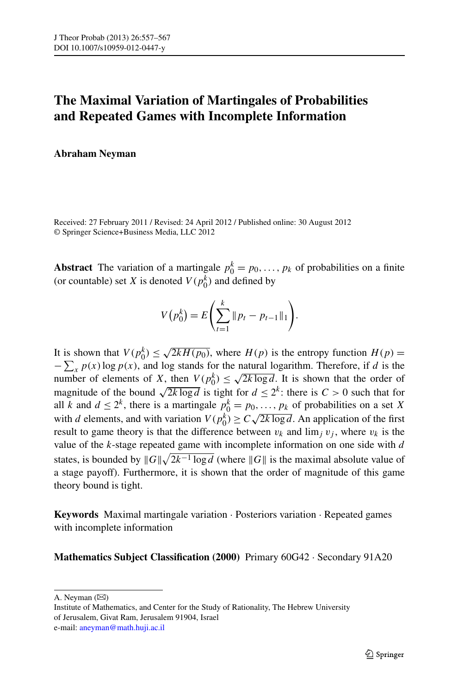# **The Maximal Variation of Martingales of Probabilities and Repeated Games with Incomplete Information**

# **Abraham Neyman**

Received: 27 February 2011 / Revised: 24 April 2012 / Published online: 30 August 2012 © Springer Science+Business Media, LLC 2012

**Abstract** The variation of a martingale  $p_0^k = p_0, \ldots, p_k$  of probabilities on a finite (or countable) set *X* is denoted  $V(p_0^k)$  and defined by

$$
V(p_0^k) = E\left(\sum_{t=1}^k \|p_t - p_{t-1}\|_1\right).
$$

It is shown that  $V(p_0^k) \le \sqrt{2kH(p_0)}$ , where  $H(p)$  is the entropy function  $H(p)$  $-\sum_{x} p(x) \log p(x)$ , and log stands for the natural logarithm. Therefore, if *d* is the  $-\sum_{x} p(x)$  log  $p(x)$ , and log stands for the haddle logarithm. Therefore, if *a* is the number of elements of *X*, then  $V(p_0^k) \le \sqrt{2k \log d}$ . It is shown that the order of magnitude of the bound  $\sqrt{2k \log d}$  is tight for  $d \leq 2^k$ : there is  $C > 0$  such that for all *k* and  $d \leq 2^k$ , there is a martingale  $p_0^k = p_0, \ldots, p_k$  of probabilities on a set *X* with *d* elements, and with variation  $V(p_0^k) \ge C \sqrt{2k \log d}$ . An application of the first result to game theory is that the difference between  $v_k$  and  $\lim_j v_j$ , where  $v_k$  is the value of the *k*-stage repeated game with incomplete information on one side with *d* states, is bounded by  $||G||\sqrt{2k^{-1}} \log d$  (where  $||G||$  is the maximal absolute value of a stage payoff). Furthermore, it is shown that the order of magnitude of this game theory bound is tight.

**Keywords** Maximal martingale variation · Posteriors variation · Repeated games with incomplete information

## **Mathematics Subject Classification (2000)** Primary 60G42 · Secondary 91A20

A. Neyman  $(\boxtimes)$ 

Institute of Mathematics, and Center for the Study of Rationality, The Hebrew University of Jerusalem, Givat Ram, Jerusalem 91904, Israel e-mail: [aneyman@math.huji.ac.il](mailto:aneyman@math.huji.ac.il)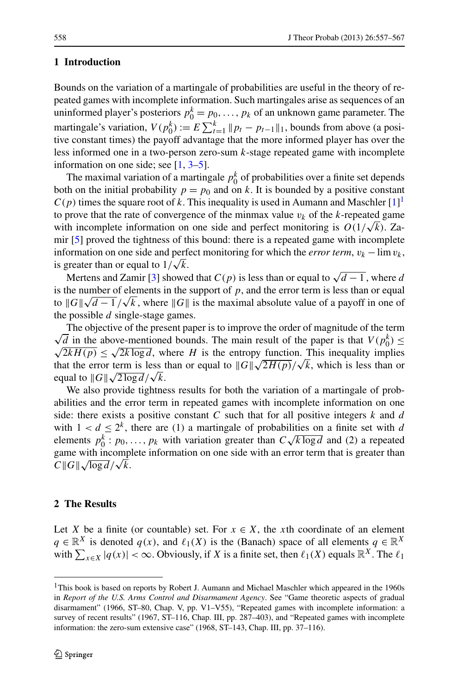# **1 Introduction**

Bounds on the variation of a martingale of probabilities are useful in the theory of repeated games with incomplete information. Such martingales arise as sequences of an uninformed player's posteriors  $p_0^k = p_0, \ldots, p_k$  of an unknown game parameter. The martingale's variation,  $V(p_0^k) := E \sum_{t=1}^k ||p_t - p_{t-1}||_1$ , bounds from above (a positive constant times) the payoff advantage that the more informed player has over the less informed one in a two-person zero-sum *k*-stage repeated game with incomplete information on one side; see  $[1, 3-5]$  $[1, 3-5]$  $[1, 3-5]$  $[1, 3-5]$ .

The maximal variation of a martingale  $p_0^k$  of probabilities over a finite set depends both on the initial probability  $p = p_0$  and on k. It is bounded by a positive constant  $C(p)$  times the square root of k. This inequality is used in Aumann and Maschler  $[1]$  $[1]$ <sup>[1](#page-1-0)</sup> to prove that the rate of convergence of the minmax value  $v_k$  of the  $k$ -repeated game with incomplete information on one side and perfect monitoring is  $O(1/\sqrt{k})$ . Zamir [[5\]](#page-10-2) proved the tightness of this bound: there is a repeated game with incomplete information on one side and perfect monitoring for which the *error term*,  $v_k - \lim v_k$ , is greater than or equal to  $1/\sqrt{k}$ .

Mertens and Zamir [\[3](#page-10-1)] showed that  $C(p)$  is less than or equal to  $\sqrt{d-1}$ , where *d* is the number of elements in the support of  $p$ , and the error term is less than or equal to  $||G||\sqrt{d-1}/\sqrt{k}$ , where  $||G||$  is the maximal absolute value of a payoff in one of the maximal absolute value of a payoff in one of the possible *d* single-stage games.

The objective of the present paper is to improve the order of magnitude of the term<br> $\sqrt{d}$  in the above-mentioned bounds. The main result of the paper is that  $V(p_0^k) \le$ The objective of the present paper is to improve the order of magnitude of the term  $\sqrt{2kH(p)} \leq \sqrt{2k \log d}$ , where *H* is the entropy function. This inequality implies  $\sqrt{2k}H(p) \le \sqrt{2k} \log a$ , where *H* is the entropy function. This inequality implies that the error term is less than or equal to  $\|\mathcal{G}\|\sqrt{2H(p)}/\sqrt{k}$ , which is less than or and the error term is less to<br>equal to  $||G|| \sqrt{2 \log d}/\sqrt{k}$ .

We also provide tightness results for both the variation of a martingale of probabilities and the error term in repeated games with incomplete information on one side: there exists a positive constant *C* such that for all positive integers *k* and *d* with  $1 < d \leq 2^k$ , there are (1) a martingale of probabilities on a finite set with *d* with  $1 < u \leq 2$ , there are (1) a mattingate of probabilities on a finite set with *a* elements  $p_0^k : p_0, \ldots, p_k$  with variation greater than  $C \sqrt{k \log d}$  and (2) a repeated game with incomplete information on one side with an error term that is greater than game with incomp<br>*C*  $\|G\|\sqrt{\log d}/\sqrt{k}$ .

## <span id="page-1-0"></span>**2 The Results**

Let *X* be a finite (or countable) set. For  $x \in X$ , the *x*th coordinate of an element *q* ∈  $\mathbb{R}^X$  is denoted *q(x)*, and  $\ell_1(X)$  is the (Banach) space of all elements *q* ∈  $\mathbb{R}^X$ with  $\sum_{x \in X} |q(x)| < \infty$ . Obviously, if *X* is a finite set, then  $\ell_1(X)$  equals  $\mathbb{R}^X$ . The  $\ell_1$ 

<sup>&</sup>lt;sup>1</sup>This book is based on reports by Robert J. Aumann and Michael Maschler which appeared in the 1960s in *Report of the U.S. Arms Control and Disarmament Agency*. See "Game theoretic aspects of gradual disarmament" (1966, ST–80, Chap. V, pp. V1–V55), "Repeated games with incomplete information: a survey of recent results" (1967, ST-116, Chap. III, pp. 287-403), and "Repeated games with incomplete information: the zero-sum extensive case" (1968, ST–143, Chap. III, pp. 37–116).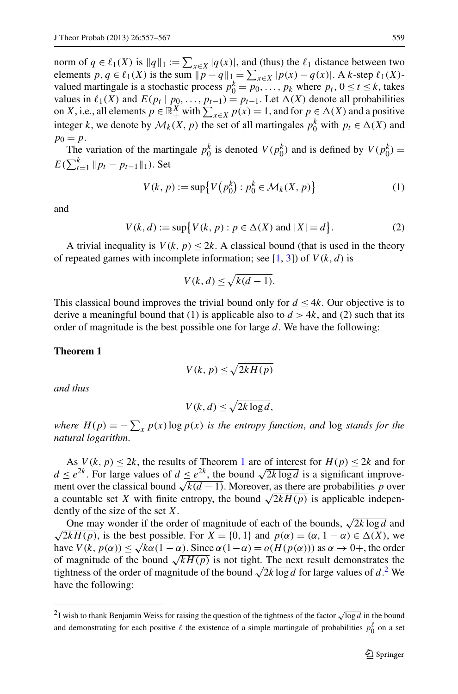norm of  $q \in \ell_1(X)$  is  $||q||_1 := \sum_{x \in X} |q(x)|$ , and (thus) the  $\ell_1$  distance between two elements  $p, q \in \ell_1(X)$  is the sum  $\|p - q\|_1 = \sum_{x \in X} |p(x) - q(x)|$ . A *k*-step  $\ell_1(X)$ valued martingale is a stochastic process  $p_0^k = p_0, \ldots, p_k$  where  $p_t, 0 \le t \le k$ , takes values in  $\ell_1(X)$  and  $E(p_t | p_0, \ldots, p_{t-1}) = p_{t-1}$ . Let  $\Delta(X)$  denote all probabilities on *X*, i.e., all elements  $p \in \mathbb{R}_+^X$  with  $\sum_{x \in X} p(x) = 1$ , and for  $p \in \Delta(X)$  and a positive integer *k*, we denote by  $\mathcal{M}_k(X, p)$  the set of all martingales  $p_0^k$  with  $p_t \in \Delta(X)$  and  $p_0 = p$ .

The variation of the martingale  $p_0^k$  is denoted  $V(p_0^k)$  and is defined by  $V(p_0^k)$  =  $E(\sum_{t=1}^{k} ||p_t - p_{t-1}||_1)$ . Set

$$
V(k, p) := \sup \{ V(p_0^k) : p_0^k \in \mathcal{M}_k(X, p) \}
$$
 (1)

and

$$
V(k, d) := \sup \{ V(k, p) : p \in \Delta(X) \text{ and } |X| = d \}.
$$
 (2)

<span id="page-2-0"></span>A trivial inequality is  $V(k, p) \leq 2k$ . A classical bound (that is used in the theory of repeated games with incomplete information; see  $[1, 3]$  $[1, 3]$  $[1, 3]$  $[1, 3]$  $[1, 3]$ ) of  $V(k, d)$  is

$$
V(k,d) \le \sqrt{k(d-1)}.
$$

This classical bound improves the trivial bound only for  $d \leq 4k$ . Our objective is to derive a meaningful bound that (1) is applicable also to  $d > 4k$ , and (2) such that its order of magnitude is the best possible one for large *d*. We have the following:

#### **Theorem 1**

$$
V(k, p) \le \sqrt{2kH(p)}
$$

*and thus*

$$
V(k, d) \le \sqrt{2k \log d},
$$

*where*  $H(p) = -\sum_{x} p(x) \log p(x)$  *is the entropy function, and* log *stands for the natural logarithm*.

As  $V(k, p) < 2k$ , the results of Theorem [1](#page-2-0) are of interest for  $H(p) < 2k$  and for *d* ≤  $e^{2k}$ . For large values of *d* ≤  $e^{2k}$ , the bound  $\sqrt{2k \log d}$  is a significant improvement over the classical bound  $\sqrt{k(d-1)}$ . Moreover, as there are probabilities *p* over a countable set *X* with finite entropy, the bound  $\sqrt{2kH(p)}$  is applicable independently of the size of the set *X*.

<span id="page-2-1"></span>One may wonder if the order of magnitude of each of the bounds,  $\sqrt{2k \log d}$  and  $\sqrt{2kH(p)}$ , is the best possible. For  $X = \{0, 1\}$  and  $p(\alpha) = (\alpha, 1 - \alpha) \in \Delta(X)$ , we have  $V(k, p(\alpha)) \leq \sqrt{k\alpha(1-\alpha)}$ . Since  $\alpha(1-\alpha) = o(H(p(\alpha)))$  as  $\alpha \to 0^+$ , the order of magnitude of the bound  $\sqrt{kH(p)}$  is not tight. The next result demonstrates the tightness of the order of magnitude of the bound  $\sqrt{2k \log d}$  $\sqrt{2k \log d}$  $\sqrt{2k \log d}$  for large values of *d*.<sup>2</sup> We have the following:

<sup>&</sup>lt;sup>2</sup>I wish to thank Benjamin Weiss for raising the question of the tightness of the factor  $\sqrt{\log d}$  in the bound and demonstrating for each positive  $\ell$  the existence of a simple martingale of probabilities  $p_0^{\ell}$  on a set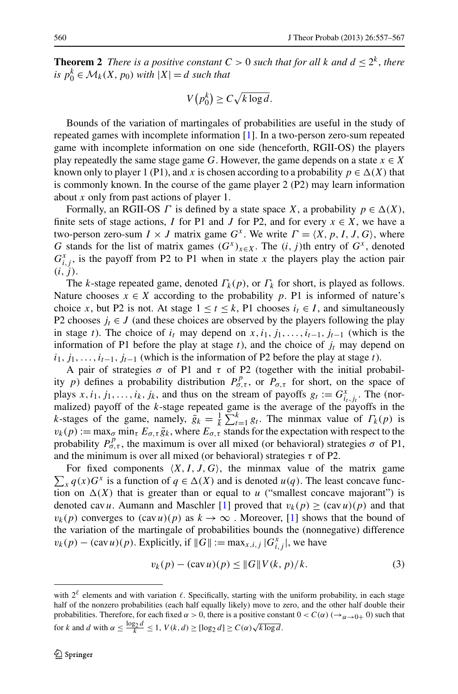<span id="page-3-1"></span>**Theorem 2** *There is a positive constant*  $C > 0$  *such that for all*  $k$  *and*  $d \leq 2^k$ *, there is*  $p_0^k \in M_k(X, p_0)$  *with*  $|X| = d$  *such that* 

$$
V(p_0^k) \ge C\sqrt{k \log d}.
$$

Bounds of the variation of martingales of probabilities are useful in the study of repeated games with incomplete information [\[1](#page-10-0)]. In a two-person zero-sum repeated game with incomplete information on one side (henceforth, RGII-OS) the players play repeatedly the same stage game *G*. However, the game depends on a state  $x \in X$ known only to player 1 (P1), and *x* is chosen according to a probability  $p \in \Delta(X)$  that is commonly known. In the course of the game player 2 (P2) may learn information about *x* only from past actions of player 1.

Formally, an RGII-OS *Γ* is defined by a state space *X*, a probability  $p \in \Delta(X)$ , finite sets of stage actions, *I* for P1 and *J* for P2, and for every  $x \in X$ , we have a two-person zero-sum  $I \times J$  matrix game  $G^x$ . We write  $\Gamma = \langle X, p, I, J, G \rangle$ , where *G* stands for the list of matrix games  $(G^x)_{x \in X}$ . The  $(i, j)$ th entry of  $G^x$ , denoted  $G_{i,j}^x$ , is the payoff from P2 to P1 when in state *x* the players play the action pair  $(i, j)$ .

The *k*-stage repeated game, denoted  $\Gamma_k(p)$ , or  $\Gamma_k$  for short, is played as follows. Nature chooses  $x \in X$  according to the probability p. P1 is informed of nature's choice *x*, but P2 is not. At stage  $1 \le t \le k$ , P1 chooses  $i_t \in I$ , and simultaneously P2 chooses  $j_t \in J$  (and these choices are observed by the players following the play in stage *t*). The choice of  $i_t$  may depend on  $x, i_1, j_1, \ldots, i_{t-1}, j_{t-1}$  (which is the information of P1 before the play at stage  $t$ ), and the choice of  $j_t$  may depend on  $i_1, j_1, \ldots, i_{t-1}, j_{t-1}$  (which is the information of P2 before the play at stage *t*).

A pair of strategies  $\sigma$  of P1 and  $\tau$  of P2 (together with the initial probability *p*) defines a probability distribution  $P_{\sigma,\tau}^p$ , or  $P_{\sigma,\tau}$  for short, on the space of plays  $x, i_1, j_1, \ldots, i_k, j_k$ , and thus on the stream of payoffs  $g_t := G_{i_t,j_t}^x$ . The (normalized) payoff of the *k*-stage repeated game is the average of the payoffs in the *k*-stages of the game, namely,  $g_k = \frac{1}{k} \sum_{t=1}^k g_t$ . The minmax value of  $\Gamma_k(p)$  is  $v_k(p) := \max_{\sigma} \min_{\tau} E_{\sigma, \tau} \bar{g}_k$ , where  $E_{\sigma, \tau}$  stands for the expectation with respect to the probability  $P_{\sigma,\tau}^p$ , the maximum is over all mixed (or behavioral) strategies  $\sigma$  of P1, and the minimum is over all mixed (or behavioral) strategies  $\tau$  of P2.

 $\sum_{x} q(x)G^{x}$  is a function of  $q \in \Delta(X)$  and is denoted *u(q)*. The least concave func-For fixed components  $(X, I, J, G)$ , the minmax value of the matrix game tion on  $\Delta(X)$  that is greater than or equal to *u* ("smallest concave majorant") is denoted cav *u*. Aumann and Maschler [\[1](#page-10-0)] proved that  $v_k(p) \geq (cav u)(p)$  and that  $v_k(p)$  converges to  $(cav u)(p)$  as  $k \to \infty$ . Moreover, [\[1](#page-10-0)] shows that the bound of the variation of the martingale of probabilities bounds the (nonnegative) difference  $v_k(p) - (\text{cav } u)(p)$ . Explicitly, if  $||G|| := \max_{x, i, j} |G_{i, j}^x|$ , we have

<span id="page-3-0"></span>
$$
v_k(p) - (cav u)(p) \le ||G|| V(k, p)/k.
$$
 (3)

with  $2^{\ell}$  elements and with variation  $\ell$ . Specifically, starting with the uniform probability, in each stage half of the nonzero probabilities (each half equally likely) move to zero, and the other half double their probabilities. Therefore, for each fixed  $\alpha > 0$ , there is a positive constant  $0 < C(\alpha)$  ( $\rightarrow_{\alpha \rightarrow 0+} 0$ ) such that for *k* and *d* with  $\alpha \leq \frac{\log_2 d}{k} \leq 1$ ,  $V(k, d) \geq [\log_2 d] \geq C(\alpha) \sqrt{k \log d}$ .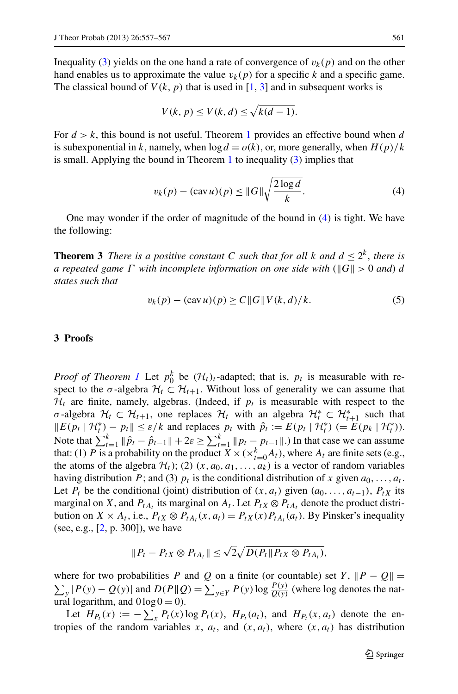Inequality ([3\)](#page-3-0) yields on the one hand a rate of convergence of  $v_k(p)$  and on the other hand enables us to approximate the value  $v_k(p)$  for a specific *k* and a specific game. The classical bound of  $V(k, p)$  that is used in [\[1](#page-10-0), [3](#page-10-1)] and in subsequent works is

<span id="page-4-0"></span>
$$
V(k, p) \le V(k, d) \le \sqrt{k(d-1)}.
$$

<span id="page-4-1"></span>For  $d > k$ , this bound is not useful. Theorem [1](#page-2-0) provides an effective bound when *d* is subexponential in *k*, namely, when  $\log d = o(k)$ , or, more generally, when  $H(p)/k$ is small. Applying the bound in Theorem  $1$  to inequality  $(3)$  $(3)$  implies that

$$
v_k(p) - (\operatorname{cav} u)(p) \le ||G|| \sqrt{\frac{2\log d}{k}}.
$$
 (4)

One may wonder if the order of magnitude of the bound in [\(4](#page-4-0)) is tight. We have the following:

**Theorem 3** *There is a positive constant C such that for all*  $k$  *and*  $d \leq 2^k$ , *there is a repeated game Γ* with incomplete information on one side with ( $\|G\|$  > 0 *and*) *d states such that*

$$
v_k(p) - (\operatorname{cav} u)(p) \ge C ||G|| V(k, d)/k. \tag{5}
$$

## **3 Proofs**

*Proof of Theorem [1](#page-2-0)* Let  $p_0^k$  be  $(\mathcal{H}_t)_t$ -adapted; that is,  $p_t$  is measurable with respect to the  $\sigma$ -algebra  $\mathcal{H}_t \subset \mathcal{H}_{t+1}$ . Without loss of generality we can assume that  $H_t$  are finite, namely, algebras. (Indeed, if  $p_t$  is measurable with respect to the *σ*-algebra  $H_t \subset H_{t+1}$ , one replaces  $H_t$  with an algebra  $H_t^* \subset H_{t+1}^*$  such that  $||E(p_t | H_t^*) - p_t|| \le \varepsilon/k$  and replaces  $p_t$  with  $\hat{p}_t := E(p_t | H_t^*) (= E(p_k | H_t^*)).$ Note that  $\sum_{t=1}^{k} \|\hat{p}_t - \hat{p}_{t-1}\| + 2\varepsilon \ge \sum_{t=1}^{k} \|p_t - p_{t-1}\|$ .) In that case we can assume that: (1) *P* is a probability on the product  $\overline{X} \times (\times_{t=0}^{k} A_t)$ , where  $A_t$  are finite sets (e.g., the atoms of the algebra  $\mathcal{H}_t$ ); (2)  $(x, a_0, a_1, \ldots, a_k)$  is a vector of random variables having distribution *P*; and (3)  $p_t$  is the conditional distribution of *x* given  $a_0, \ldots, a_t$ . Let  $P_t$  be the conditional (joint) distribution of  $(x, a_t)$  given  $(a_0, \ldots, a_{t-1})$ ,  $P_{tX}$  its marginal on *X*, and  $P_{tA_t}$  its marginal on  $A_t$ . Let  $P_{tX} \otimes P_{tA_t}$  denote the product distribution on *X* × *A<sub>t</sub>*, i.e.,  $P_{tX} \otimes P_{tA_t}(x, a_t) = P_{tX}(x)P_{tA_t}(a_t)$ . By Pinsker's inequality (see, e.g., [[2](#page-10-3), p. 300]), we have

$$
|| P_t - P_{tX} \otimes P_{tA_t} || \leq \sqrt{2} \sqrt{D(P_t || P_{tX} \otimes P_{tA_t})},
$$

where for two probabilities *P* and *Q* on a finite (or countable) set *Y*,  $||P - Q|| =$  $\sum_{y} |P(y) - Q(y)|$  and  $D(P||Q) = \sum_{y \in Y} P(y) \log \frac{P(y)}{Q(y)}$  (where log denotes the natural logarithm, and  $0 \log 0 = 0$ .

Let  $H_{P_t}(x) := -\sum_x P_t(x) \log P_t(x)$ ,  $H_{P_t}(a_t)$ , and  $H_{P_t}(x, a_t)$  denote the entropies of the random variables x,  $a_t$ , and  $(x, a_t)$ , where  $(x, a_t)$  has distribution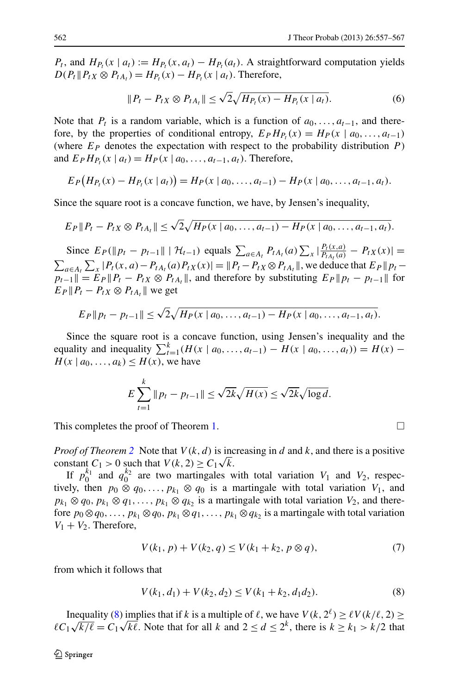$P_t$ , and  $H_P(x \mid a_t) := H_P(x, a_t) - H_P(a_t)$ . A straightforward computation yields  $D(P_t \| P_t X \otimes P_{tA_t}) = H_{P_t}(x) - H_{P_t}(x | a_t)$ . Therefore,

$$
||P_t - P_{tX} \otimes P_{tA_t}|| \le \sqrt{2} \sqrt{H_{P_t}(x) - H_{P_t}(x \mid a_t)}.
$$
\n(6)

Note that  $P_t$  is a random variable, which is a function of  $a_0, \ldots, a_{t-1}$ , and therefore, by the properties of conditional entropy,  $E_P H_{P_t}(x) = H_P(x \mid a_0, \ldots, a_{t-1})$ (where  $E_P$  denotes the expectation with respect to the probability distribution  $P$ ) and  $E_P H_{P_t}(x \mid a_t) = H_P(x \mid a_0, \ldots, a_{t-1}, a_t)$ . Therefore,

$$
E_P(H_{P_t}(x) - H_{P_t}(x \mid a_t)) = H_P(x \mid a_0, \ldots, a_{t-1}) - H_P(x \mid a_0, \ldots, a_{t-1}, a_t).
$$

Since the square root is a concave function, we have, by Jensen's inequality,

$$
E_P || P_t - P_t_X \otimes P_{tA_t} || \leq \sqrt{2} \sqrt{H_P(x | a_0, \ldots, a_{t-1}) - H_P(x | a_0, \ldots, a_{t-1}, a_t)}.
$$

Since  $E_P(\|p_t - p_{t-1}\| \mid \mathcal{H}_{t-1})$  equals  $\sum_{a \in A_t} P_{tA_t}(a) \sum_x |\frac{P_t(x,a)}{P_{tA_t}(a)} - P_{tX}(x)| =$  $\sum_{a \in A_t} \sum_x |P_t(x, a) - P_{tA_t}(a)P_{tX}(x)| = ||P_t - P_{tX} \otimes P_{tA_t}||$ , we deduce that  $E_P ||p_t - p_t||$  $p_{t-1}$   $\| = E_P \| P_t - P_t X \otimes P_{tA_t} \|$ , and therefore by substituting  $E_P \| p_t - p_{t-1} \|$  for  $E_P \| P_t - P_t X \otimes P_{tA_t} \|$  we get

$$
E_P || p_t - p_{t-1} || \le \sqrt{2} \sqrt{H_P(x | a_0, \ldots, a_{t-1}) - H_P(x | a_0, \ldots, a_{t-1}, a_t)}.
$$

Since the square root is a concave function, using Jensen's inequality and the equality and inequality  $\sum_{t=1}^{k} (H(x \mid a_0, ..., a_{t-1}) - H(x \mid a_0, ..., a_t)) = H(x) H(x \mid a_0, \ldots, a_k) \leq H(x)$ , we have

$$
E\sum_{t=1}^{k} \|p_t - p_{t-1}\| \le \sqrt{2k}\sqrt{H(x)} \le \sqrt{2k}\sqrt{\log d}.
$$

This completes the proof of Theorem [1.](#page-2-0)

*Proof of Theorem* [2](#page-3-1) Note that  $V(k, d)$  is increasing in *d* and *k*, and there is a positive *constant*  $C_1 > 0$  such that  $V(k, 2) \ge C_1 \sqrt{k}$ .

If  $p_0^{k_1}$  and  $q_0^{k_2}$  are two martingales with total variation  $V_1$  and  $V_2$ , respectively, then  $p_0 \otimes q_0, \ldots, p_{k_1} \otimes q_0$  is a martingale with total variation  $V_1$ , and  $p_{k_1} \otimes q_0$ ,  $p_{k_1} \otimes q_1, \ldots, p_{k_1} \otimes q_{k_2}$  is a martingale with total variation  $V_2$ , and therefore  $p_0 \otimes q_0, \ldots, p_{k_1} \otimes q_0, p_{k_1} \otimes q_1, \ldots, p_{k_1} \otimes q_{k_2}$  is a martingale with total variation  $V_1 + V_2$ . Therefore,

$$
V(k_1, p) + V(k_2, q) \le V(k_1 + k_2, p \otimes q),
$$
\n(7)

from which it follows that

$$
V(k_1, d_1) + V(k_2, d_2) \le V(k_1 + k_2, d_1 d_2). \tag{8}
$$

Inequality ([8\)](#page-5-0) implies that if *k* is a multiple of  $\ell$ , we have  $V(k, 2^{\ell}) \ge \ell V(k/\ell, 2) \ge$ *C*<sub>1</sub> √*k*/ $\ell$  = *C*<sub>1</sub> √*k* $\ell$ . Note that for all *k* and  $2 \le d \le 2^k$ , there is  $k \ge k_1 > k/2$  that

<span id="page-5-0"></span>
$$
\qquad \qquad \Box
$$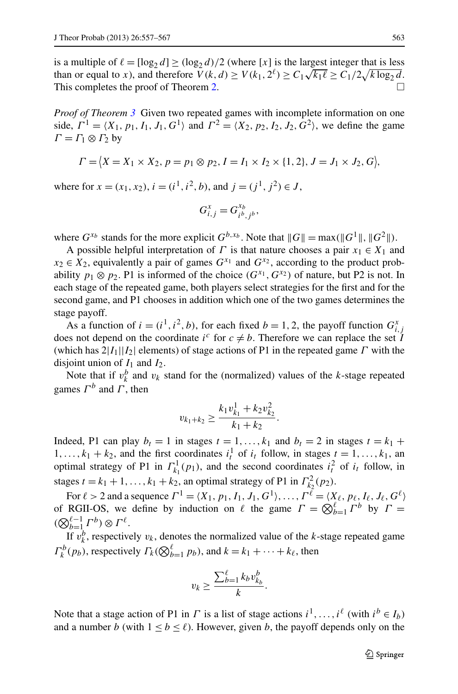is a multiple of  $\ell = [\log_2 d] \ge (\log_2 d)/2$  (where [*x*] is the largest integer that is less than or equal to *x*), and therefore  $V(k, d) \ge V(k_1, 2^{\ell}) \ge C_1 \sqrt{k_1 \ell} \ge C_1/2 \sqrt{k \log_2 d}$ . This completes the proof of Theorem [2.](#page-3-1)  $\Box$ 

*Proof of Theorem [3](#page-4-1)* Given two repeated games with incomplete information on one side,  $\Gamma^1 = \langle X_1, p_1, I_1, J_1, G^1 \rangle$  and  $\Gamma^2 = \langle X_2, p_2, I_2, J_2, G^2 \rangle$ , we define the game  $Γ = Γ_1 ⊗ Γ_2$  by

$$
\Gamma = \{ X = X_1 \times X_2, p = p_1 \otimes p_2, I = I_1 \times I_2 \times \{1, 2\}, J = J_1 \times J_2, G \},\
$$

where for  $x = (x_1, x_2)$ ,  $i = (i^1, i^2, b)$ , and  $j = (i^1, i^2) \in J$ ,

$$
G_{i,j}^x = G_{i^b,j^b}^{x_b},
$$

where  $G^{x_b}$  stands for the more explicit  $G^{b,x_b}$ . Note that  $||G|| = \max(||G^1||, ||G^2||)$ .

A possible helpful interpretation of *Γ* is that nature chooses a pair  $x_1 \in X_1$  and  $x_2 \in X_2$ , equivalently a pair of games  $G^{x_1}$  and  $G^{x_2}$ , according to the product probability  $p_1 \otimes p_2$ . P1 is informed of the choice  $(G^{x_1}, G^{x_2})$  of nature, but P2 is not. In each stage of the repeated game, both players select strategies for the first and for the second game, and P1 chooses in addition which one of the two games determines the stage payoff.

As a function of  $i = (i^1, i^2, b)$ , for each fixed  $b = 1, 2$ , the payoff function  $G_{i,j}^x$ does not depend on the coordinate  $i^c$  for  $c \neq b$ . Therefore we can replace the set *I* (which has  $2|I_1||I_2|$  elements) of stage actions of P1 in the repeated game *Γ* with the disjoint union of  $I_1$  and  $I_2$ .

Note that if  $v_k^b$  and  $v_k$  stand for the (normalized) values of the *k*-stage repeated games  $\Gamma^b$  and  $\Gamma$ , then

$$
v_{k_1+k_2} \ge \frac{k_1 v_{k_1}^1 + k_2 v_{k_2}^2}{k_1 + k_2}.
$$

Indeed, P1 can play  $b_t = 1$  in stages  $t = 1, \ldots, k_1$  and  $b_t = 2$  in stages  $t = k_1 + k_2$ 1,...,  $k_1 + k_2$ , and the first coordinates  $i_t^1$  of  $i_t$  follow, in stages  $t = 1, \ldots, k_1$ , and optimal strategy of P1 in  $\Gamma_{k_1}^1(p_1)$ , and the second coordinates  $i_t^2$  of  $i_t$  follow, in stages  $t = k_1 + 1, \ldots, k_1 + k_2$ , an optimal strategy of P1 in  $\Gamma_{k_2}^2(p_2)$ .

 $\text{For } \ell > 2 \text{ and a sequence } \Gamma^1 = \langle X_1, p_1, I_1, J_1, G^1 \rangle, \dots, \Gamma^{\ell} = \langle X_{\ell}, p_{\ell}, I_{\ell}, J_{\ell}, G^{\ell} \rangle$ of RGII-OS, we define by induction on  $\ell$  the game  $\Gamma = \bigotimes_{b=1}^{\ell} \Gamma^b$  by  $\Gamma =$  $(\bigotimes_{b=1}^{\ell-1} \Gamma^b) \otimes \Gamma^{\ell}.$ 

If  $v_k^b$ , respectively  $v_k$ , denotes the normalized value of the *k*-stage repeated game  $\Gamma_k^b(p_b)$ , respectively  $\Gamma_k(\bigotimes_{b=1}^{\ell} p_b)$ , and  $k = k_1 + \cdots + k_{\ell}$ , then

$$
v_k \geq \frac{\sum_{b=1}^{\ell} k_b v_{k_b}^b}{k}.
$$

Note that a stage action of P1 in *Γ* is a list of stage actions  $i^1, \ldots, i^{\ell}$  (with  $i^b \in I_b$ ) and a number *b* (with  $1 \le b \le \ell$ ). However, given *b*, the payoff depends only on the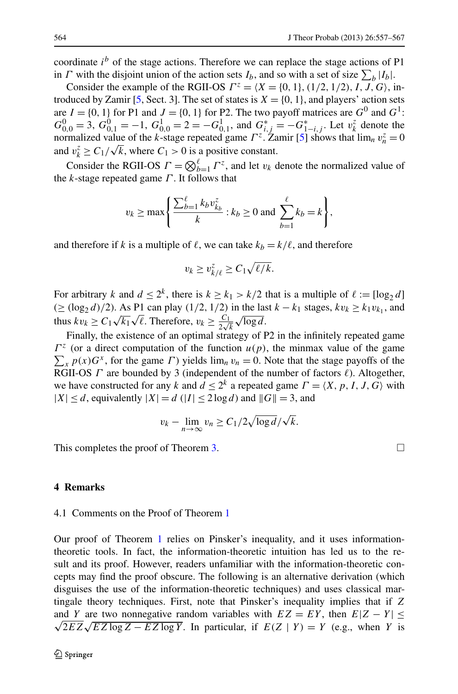coordinate  $i^b$  of the stage actions. Therefore we can replace the stage actions of P1 in *Γ* with the disjoint union of the action sets  $I_b$ , and so with a set of size  $\sum_b |I_b|$ .

Consider the example of the RGII-OS  $\Gamma^z = \langle X = \{0, 1\}, (1/2, 1/2), I, J, G \rangle$ , in-troduced by Zamir [[5,](#page-10-2) Sect. 3]. The set of states is  $X = \{0, 1\}$ , and players' action sets are  $I = \{0, 1\}$  for P1 and  $J = \{0, 1\}$  for P2. The two payoff matrices are  $G^0$  and  $G^1$ :  $G_{0,0}^0 = 3$ ,  $G_{0,1}^0 = -1$ ,  $G_{0,0}^1 = 2 = -G_{0,1}^1$ , and  $G_{i,j}^* = -G_{1-i,j}^*$ . Let  $v_k^z$  denote the normalized value of the *k*-stage repeated game  $\Gamma^z$ . Zamir [\[5](#page-10-2)] shows that  $\lim_n v_n^z = 0$ and  $v_k^2 \ge C_1/\sqrt{k}$ , where  $C_1 > 0$  is a positive constant.

Consider the RGII-OS  $\Gamma = \bigotimes_{b=1}^{\ell} \Gamma^z$ , and let  $v_k$  denote the normalized value of the *k*-stage repeated game *Γ* . It follows that

$$
v_k \ge \max\left\{\frac{\sum_{b=1}^{\ell} k_b v_{k_b}^z}{k} : k_b \ge 0 \text{ and } \sum_{b=1}^{\ell} k_b = k\right\},\right.
$$

and therefore if *k* is a multiple of  $\ell$ , we can take  $k_b = k/\ell$ , and therefore

$$
v_k \ge v_{k/\ell}^z \ge C_1 \sqrt{\ell/k}.
$$

For arbitrary *k* and  $d \leq 2^k$ , there is  $k \geq k_1 > k/2$  that is a multiple of  $\ell := \lfloor \log_2 d \rfloor$  $(≥ (log<sub>2</sub> d)/2)$ . As P1 can play  $(1/2, 1/2)$  in the last  $k - k<sub>1</sub>$  stages,  $kv<sub>k</sub> ≥ k<sub>1</sub>v<sub>k<sub>1</sub></sub>$ , and thus  $kv_k \ge C_1 \sqrt{k_1} \sqrt{\ell}$ . Therefore,  $v_k \ge \frac{C_1}{2\sqrt{k}} \sqrt{\log d}$ .

Finally, the existence of an optimal strategy of P2 in the infinitely repeated game  $\Gamma^z$  (or a direct computation of the function  $u(p)$ , the minmax value of the game  $\sum_{x} p(x)G^{x}$ , for the game *Γ*) yields  $\lim_{n} v_{n} = 0$ . Note that the stage payoffs of the RGII-OS *Γ* are bounded by 3 (independent of the number of factors  $\ell$ ). Altogether, we have constructed for any *k* and  $d \leq 2^k$  a repeated game  $\Gamma = \langle X, p, I, J, G \rangle$  with  $|X| \le d$ , equivalently  $|X| = d$  ( $|I| \le 2 \log d$ ) and  $||G|| = 3$ , and

$$
v_k - \lim_{n \to \infty} v_n \ge C_1/2\sqrt{\log d}/\sqrt{k}.
$$

This completes the proof of Theorem [3.](#page-4-1)  $\Box$ 

## **4 Remarks**

#### 4.1 Comments on the Proof of Theorem [1](#page-2-0)

Our proof of Theorem [1](#page-2-0) relies on Pinsker's inequality, and it uses informationtheoretic tools. In fact, the information-theoretic intuition has led us to the result and its proof. However, readers unfamiliar with the information-theoretic concepts may find the proof obscure. The following is an alternative derivation (which disguises the use of the information-theoretic techniques) and uses classical martingale theory techniques. First, note that Pinsker's inequality implies that if *Z* and *Y* are two nonnegative random variables with  $EZ = EY$ , then  $E|Z - Y| \leq$  $\sqrt{2EZ\sqrt{EZ\log Z - EZ\log Y}}$ . In particular, if  $E(Z | Y) = Y$  (e.g., when *Y* is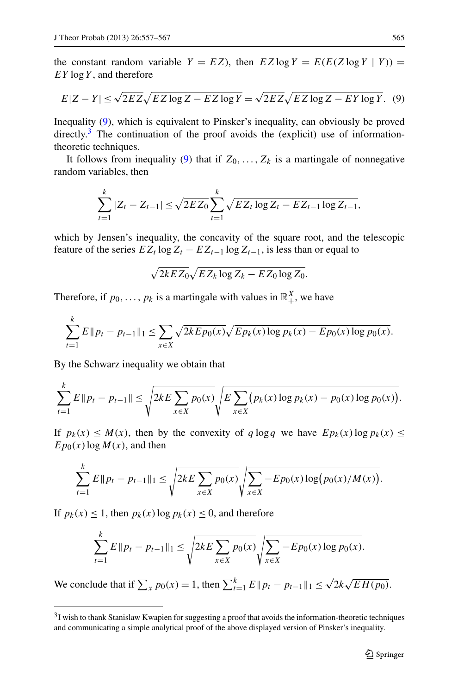the constant random variable  $Y = EZ$ ), then  $EZ \log Y = E(E(Z \log Y | Y)) =$ *EY* log*Y* , and therefore

<span id="page-8-0"></span>
$$
E|Z - Y| \le \sqrt{2EZ}\sqrt{EZ\log Z - EZ\log Y} = \sqrt{2EZ}\sqrt{EZ\log Z - EY\log Y}.
$$
 (9)

Inequality ([9\)](#page-8-0), which is equivalent to Pinsker's inequality, can obviously be proved directly.<sup>3</sup> The continuation of the proof avoids the (explicit) use of informationtheoretic techniques.

It follows from inequality [\(9](#page-8-0)) that if  $Z_0, \ldots, Z_k$  is a martingale of nonnegative random variables, then

$$
\sum_{t=1}^{k} |Z_t - Z_{t-1}| \le \sqrt{2EZ_0} \sum_{t=1}^{k} \sqrt{EZ_t \log Z_t - EZ_{t-1} \log Z_{t-1}},
$$

which by Jensen's inequality, the concavity of the square root, and the telescopic feature of the series  $EZ_t \log Z_t - EZ_{t-1} \log Z_{t-1}$ , is less than or equal to

$$
\sqrt{2kE Z_0} \sqrt{E Z_k \log Z_k - E Z_0 \log Z_0}.
$$

Therefore, if  $p_0, \ldots, p_k$  is a martingale with values in  $\mathbb{R}^X_+$ , we have

$$
\sum_{t=1}^k E||p_t - p_{t-1}||_1 \le \sum_{x \in X} \sqrt{2k E p_0(x)} \sqrt{E p_k(x) \log p_k(x) - E p_0(x) \log p_0(x)}.
$$

By the Schwarz inequality we obtain that

$$
\sum_{t=1}^k E\|p_t - p_{t-1}\| \le \sqrt{2kE\sum_{x\in X} p_0(x)}\sqrt{E\sum_{x\in X} (p_k(x)\log p_k(x) - p_0(x)\log p_0(x))}.
$$

If  $p_k(x) \leq M(x)$ , then by the convexity of  $q \log q$  we have  $E p_k(x) \log p_k(x) \leq$  $E p_0(x) \log M(x)$ , and then

$$
\sum_{t=1}^k E||p_t - p_{t-1}||_1 \leq \sqrt{2kE \sum_{x \in X} p_0(x)} \sqrt{\sum_{x \in X} - E p_0(x) \log(p_0(x)/M(x))}.
$$

<span id="page-8-1"></span>If  $p_k(x) \leq 1$ , then  $p_k(x) \log p_k(x) \leq 0$ , and therefore

$$
\sum_{t=1}^k E ||p_t - p_{t-1}||_1 \le \sqrt{2kE \sum_{x \in X} p_0(x)} \sqrt{\sum_{x \in X} - E p_0(x) \log p_0(x)}.
$$

We conclude that if  $\sum_{x} p_0(x) = 1$ , then  $\sum_{t=1}^{k} E || p_t - p_{t-1} ||_1 \le \sqrt{2k} \sqrt{E H(p_0)}$ .

<sup>3</sup>I wish to thank Stanislaw Kwapien for suggesting a proof that avoids the information-theoretic techniques and communicating a simple analytical proof of the above displayed version of Pinsker's inequality.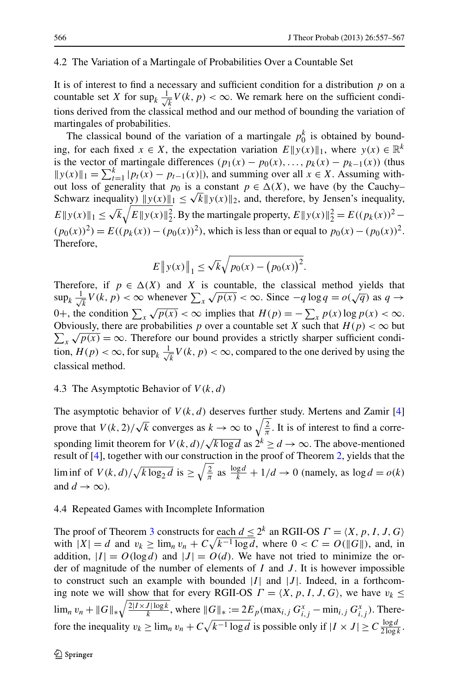#### 4.2 The Variation of a Martingale of Probabilities Over a Countable Set

It is of interest to find a necessary and sufficient condition for a distribution *p* on a countable set *X* for sup<sub>*k*</sub>  $\frac{1}{\sqrt{2}}$  $\frac{1}{k}V(k, p) < \infty$ . We remark here on the sufficient conditions derived from the classical method and our method of bounding the variation of martingales of probabilities.

The classical bound of the variation of a martingale  $p_0^k$  is obtained by bounding, for each fixed  $x \in X$ , the expectation variation  $E||y(x)||_1$ , where  $y(x) \in \mathbb{R}^k$ is the vector of martingale differences  $(p_1(x) - p_0(x), \ldots, p_k(x) - p_{k-1}(x))$  (thus  $||y(x)||_1 = \sum_{t=1}^{k} |p_t(x) - p_{t-1}(x)|$ , and summing over all  $x \in X$ . Assuming without loss of generality that  $p_0$  is a constant  $p \in \Delta(X)$ , we have (by the Cauchy– Schwarz inequality)  $||y(x)||_1 \le \sqrt{k} ||y(x)||_2$ , and, therefore, by Jensen's inequality,  $E ||y(x)||_1 \le \sqrt{k} \sqrt{E ||y(x)||_2^2}$ . By the martingale property,  $E ||y(x)||_2^2 = E((p_k(x))^2 - E((p_k(x))^2)$  $(p_0(x))^2$  =  $E((p_k(x)) - (p_0(x))^2)$ , which is less than or equal to  $p_0(x) - (p_0(x))^2$ . Therefore,

$$
E \|y(x)\|_1 \le \sqrt{k} \sqrt{p_0(x) - (p_0(x))^2}.
$$

Therefore, if  $p \in \Delta(X)$  and X is countable, the classical method yields that  $\sup_k \frac{1}{\sqrt{k}}$  $\frac{d}{dx}V(k, p) < \infty$  whenever  $\sum_{x} \sqrt{p(x)} < \infty$ . Since  $-q \log q = o(\sqrt{q})$  as  $q \to \infty$ 0+, the condition  $\sum_{x} \sqrt{p(x)} < \infty$  implies that  $H(p) = -\sum_{x} p(x) \log p(x) < \infty$ . Obviously, there are probabilities p over a countable set X such that  $H(p) < \infty$  but Obviously, there are probabilities p over a countable set A such that  $H(p) < \infty$  but  $\sum_{x} \sqrt{p(x)} = \infty$ . Therefore our bound provides a strictly sharper sufficient condition,  $H(p) < \infty$ , for sup<sub>k</sub>  $\frac{1}{\sqrt{2}}$  $\frac{1}{k}V(k, p) < \infty$ , compared to the one derived by using the classical method.

## 4.3 The Asymptotic Behavior of *V (k,d)*

The asymptotic behavior of  $V(k, d)$  deserves further study. Mertens and Zamir [\[4](#page-10-4)] prove that  $V(k, 2)/\sqrt{k}$  converges as  $k \to \infty$  to  $\sqrt{\frac{2}{\pi}}$ . It is of interest to find a corresponding limit theorem for  $V(k, d)/\sqrt{k \log d}$  as  $2^k \ge d \to \infty$ . The above-mentioned result of [\[4](#page-10-4)], together with our construction in the proof of Theorem [2](#page-3-1), yields that the lim inf of  $V(k, d) / \sqrt{k \log_2 d}$  is  $\geq \sqrt{\frac{2}{\pi}}$  as  $\frac{\log d}{k} + 1/d \to 0$  (namely, as  $\log d = o(k)$ ) and  $d \to \infty$ ).

### 4.4 Repeated Games with Incomplete Information

The proof of Theorem [3](#page-4-1) constructs for each  $d \leq 2^k$  an RGII-OS  $\Gamma = \langle X, p, I, J, G \rangle$ with  $|X| = d$  and  $v_k \ge \lim_n v_n + C\sqrt{k^{-1} \log d}$ , where  $0 < C = O(||G||)$ , and, in addition,  $|I| = O(\log d)$  and  $|J| = O(d)$ . We have not tried to minimize the order of magnitude of the number of elements of *I* and *J* . It is however impossible to construct such an example with bounded  $|I|$  and  $|J|$ . Indeed, in a forthcoming note we will show that for every RGII-OS  $\Gamma = \langle X, p, I, J, G \rangle$ , we have  $v_k \leq$  $\lim_{n} v_n + ||G||_* \sqrt{\frac{2|I \times J| \log k}{k}}$ , where  $||G||_* := 2E_p(\max_{i,j} G_{i,j}^x - \min_{i,j} G_{i,j}^x)$ . Therefore the inequality  $v_k \ge \lim_n v_n + C\sqrt{k^{-1}\log d}$  is possible only if  $|I \times J| \ge C \frac{\log d}{2 \log k}$ .